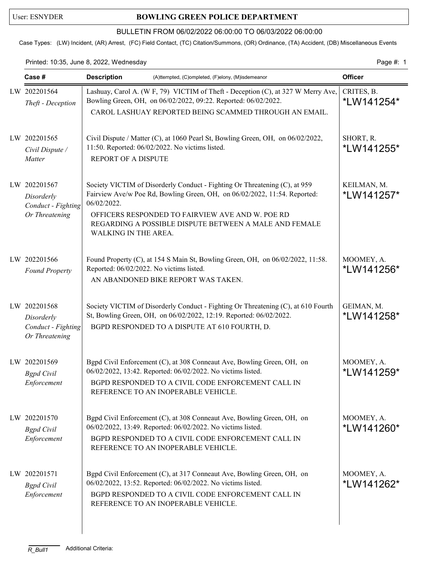## User: ESNYDER **BOWLING GREEN POLICE DEPARTMENT**

## BULLETIN FROM 06/02/2022 06:00:00 TO 06/03/2022 06:00:00

Case Types: (LW) Incident, (AR) Arrest, (FC) Field Contact, (TC) Citation/Summons, (OR) Ordinance, (TA) Accident, (DB) Miscellaneous Events

Printed: 10:35, June 8, 2022, Wednesday extending the state of the page 4: 1

| Case #                                                             | <b>Description</b><br>(A)ttempted, (C)ompleted, (F)elony, (M)isdemeanor                                                                                                                                                                                                                                      | <b>Officer</b>            |
|--------------------------------------------------------------------|--------------------------------------------------------------------------------------------------------------------------------------------------------------------------------------------------------------------------------------------------------------------------------------------------------------|---------------------------|
| LW 202201564<br>Theft - Deception                                  | Lashuay, Carol A. (W F, 79) VICTIM of Theft - Deception (C), at 327 W Merry Ave,<br>Bowling Green, OH, on 06/02/2022, 09:22. Reported: 06/02/2022.<br>CAROL LASHUAY REPORTED BEING SCAMMED THROUGH AN EMAIL.                                                                                                 | CRITES, B.<br>*LW141254*  |
| LW 202201565<br>Civil Dispute /<br>Matter                          | Civil Dispute / Matter (C), at 1060 Pearl St, Bowling Green, OH, on 06/02/2022,<br>11:50. Reported: 06/02/2022. No victims listed.<br>REPORT OF A DISPUTE                                                                                                                                                    | SHORT, R.<br>*LW141255*   |
| LW 202201567<br>Disorderly<br>Conduct - Fighting<br>Or Threatening | Society VICTIM of Disorderly Conduct - Fighting Or Threatening (C), at 959<br>Fairview Ave/w Poe Rd, Bowling Green, OH, on 06/02/2022, 11:54. Reported:<br>06/02/2022.<br>OFFICERS RESPONDED TO FAIRVIEW AVE AND W. POE RD<br>REGARDING A POSSIBLE DISPUTE BETWEEN A MALE AND FEMALE<br>WALKING IN THE AREA. | KEILMAN, M.<br>*LW141257* |
| LW 202201566<br><b>Found Property</b>                              | Found Property (C), at 154 S Main St, Bowling Green, OH, on 06/02/2022, 11:58.<br>Reported: 06/02/2022. No victims listed.<br>AN ABANDONED BIKE REPORT WAS TAKEN.                                                                                                                                            | MOOMEY, A.<br>*LW141256*  |
| LW 202201568<br>Disorderly<br>Conduct - Fighting<br>Or Threatening | Society VICTIM of Disorderly Conduct - Fighting Or Threatening (C), at 610 Fourth<br>St, Bowling Green, OH, on 06/02/2022, 12:19. Reported: 06/02/2022.<br>BGPD RESPONDED TO A DISPUTE AT 610 FOURTH, D.                                                                                                     | GEIMAN, M.<br>*LW141258*  |
| LW 202201569<br><b>Bgpd</b> Civil<br>Enforcement                   | Bgpd Civil Enforcement (C), at 308 Conneaut Ave, Bowling Green, OH, on<br>06/02/2022, 13:42. Reported: 06/02/2022. No victims listed.<br>BGPD RESPONDED TO A CIVIL CODE ENFORCEMENT CALL IN<br>REFERENCE TO AN INOPERABLE VEHICLE.                                                                           | MOOMEY, A.<br>*LW141259*  |
| LW 202201570<br><b>Bgpd</b> Civil<br>Enforcement                   | Bgpd Civil Enforcement (C), at 308 Conneaut Ave, Bowling Green, OH, on<br>06/02/2022, 13:49. Reported: 06/02/2022. No victims listed.<br>BGPD RESPONDED TO A CIVIL CODE ENFORCEMENT CALL IN<br>REFERENCE TO AN INOPERABLE VEHICLE.                                                                           | MOOMEY, A.<br>*LW141260*  |
| LW 202201571<br><b>Bgpd</b> Civil<br>Enforcement                   | Bgpd Civil Enforcement (C), at 317 Conneaut Ave, Bowling Green, OH, on<br>06/02/2022, 13:52. Reported: 06/02/2022. No victims listed.<br>BGPD RESPONDED TO A CIVIL CODE ENFORCEMENT CALL IN<br>REFERENCE TO AN INOPERABLE VEHICLE.                                                                           | MOOMEY, A.<br>*LW141262*  |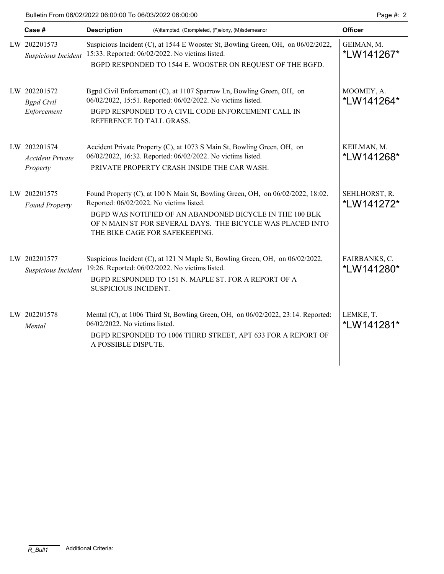| Case #                                              | <b>Description</b><br>(A)ttempted, (C)ompleted, (F)elony, (M)isdemeanor |                                                                                                                                                                                                                                                                                        | <b>Officer</b>              |
|-----------------------------------------------------|-------------------------------------------------------------------------|----------------------------------------------------------------------------------------------------------------------------------------------------------------------------------------------------------------------------------------------------------------------------------------|-----------------------------|
| LW 202201573<br>Suspicious Incident                 |                                                                         | Suspicious Incident (C), at 1544 E Wooster St, Bowling Green, OH, on 06/02/2022,<br>15:33. Reported: 06/02/2022. No victims listed.<br>BGPD RESPONDED TO 1544 E. WOOSTER ON REQUEST OF THE BGFD.                                                                                       | GEIMAN, M.<br>*LW141267*    |
| LW 202201572<br><b>Bgpd</b> Civil<br>Enforcement    | REFERENCE TO TALL GRASS.                                                | Bgpd Civil Enforcement (C), at 1107 Sparrow Ln, Bowling Green, OH, on<br>06/02/2022, 15:51. Reported: 06/02/2022. No victims listed.<br>BGPD RESPONDED TO A CIVIL CODE ENFORCEMENT CALL IN                                                                                             | MOOMEY, A.<br>*LW141264*    |
| LW 202201574<br><b>Accident Private</b><br>Property |                                                                         | Accident Private Property (C), at 1073 S Main St, Bowling Green, OH, on<br>06/02/2022, 16:32. Reported: 06/02/2022. No victims listed.<br>PRIVATE PROPERTY CRASH INSIDE THE CAR WASH.                                                                                                  | KEILMAN, M.<br>*LW141268*   |
| LW 202201575<br><b>Found Property</b>               |                                                                         | Found Property (C), at 100 N Main St, Bowling Green, OH, on 06/02/2022, 18:02.<br>Reported: 06/02/2022. No victims listed.<br>BGPD WAS NOTIFIED OF AN ABANDONED BICYCLE IN THE 100 BLK<br>OF N MAIN ST FOR SEVERAL DAYS. THE BICYCLE WAS PLACED INTO<br>THE BIKE CAGE FOR SAFEKEEPING. | SEHLHORST, R.<br>*LW141272* |
| LW 202201577<br>Suspicious Incident                 | SUSPICIOUS INCIDENT.                                                    | Suspicious Incident (C), at 121 N Maple St, Bowling Green, OH, on 06/02/2022,<br>19:26. Reported: 06/02/2022. No victims listed.<br>BGPD RESPONDED TO 151 N. MAPLE ST. FOR A REPORT OF A                                                                                               | FAIRBANKS, C.<br>*LW141280* |
| LW 202201578<br>Mental                              | 06/02/2022. No victims listed.<br>A POSSIBLE DISPUTE.                   | Mental (C), at 1006 Third St, Bowling Green, OH, on 06/02/2022, 23:14. Reported:<br>BGPD RESPONDED TO 1006 THIRD STREET, APT 633 FOR A REPORT OF                                                                                                                                       | LEMKE, T.<br>*LW141281*     |